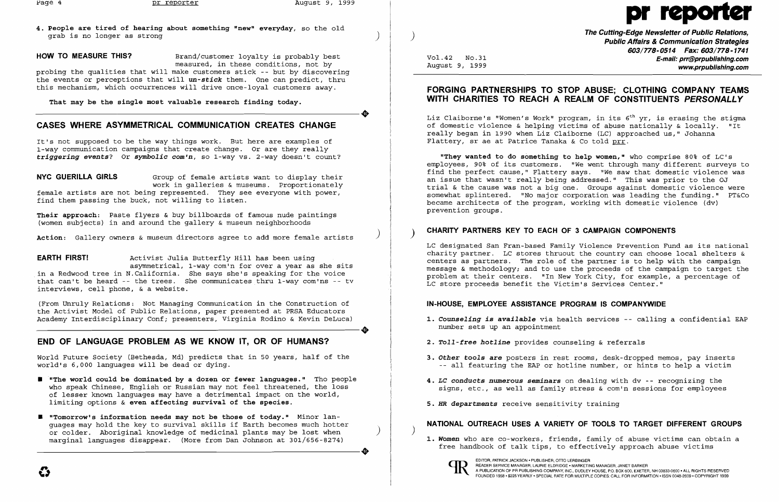**4. People are tired of hearing about something "new" everyday,** so the old grab is no longer as strong )

### **HOW TO MEASURE THIS?** Brand/customer loyalty is probably best

measured, in these conditions, not by probing the qualities that will make customers stick -- but by discovering the events or perceptions that will *un-stick* them. One can predict, thru this mechanism, which occurrences will drive once-loyal customers away.

That may be the single most valuable research finding today. That may be the single most valuable research finding today.<br>
That may be the single most valuable research finding today.<br>
CASES WILEDE ASVAMMETRICAL COMMUNICATION CREATES CHANGE

# **CASES WHERE ASYMMETRICAL COMMUNICATION CREATES CHANGE**

It's not supposed to be the way things work. But here are examples of 1-way communication campaigns that create change. Or are they really *triggering events?* **Or** *symbolic com'n,* so 1-way vs. 2-way doesn't count?

**NYC GUERILLA GIRLS** Group of female artists want to display their work in galleries & museums. Proportionately female artists are not being represented. They see everyone with power, find them passing the buck, not willing to listen. Ī

(From Unruly Relations: Not Managing Communication in the Construction of the Activist Model of Public Relations, paper presented at PRSA Educators Academy Interdisciplinary Conf; presenters, Virginia Rodino & Kevin DeLuca) THE BOOT COMMUNICATION IN THE CONSTRUCTION OF the Activist Model of Public Relations, paper presented at PRSA Educators<br>Academy Interdisciplinary Conf; presenters, Virginia Rodino & Kevin DeLuca)

World Future Society (Bethesda, Md) predicts that in 50 years, half of the world's 6,000 languages will be dead or dying.

- $\blacksquare$  "The world could be dominated by a dozen or fewer languages." Tho people who speak Chinese, English or Russian may not feel threatened, the loss of lesser known languages may have a detrimental impact on the world, limiting options & **even affecting survival of the species.**
- **• "Tomorrow's information needs may not be those of today."** Minor languages may hold the key to survival skills if Earth becomes much hotter or colder. Aboriginal knowledge of medicinal plants may be lost when marginal languages disappear. (More from Dan Johnson at 301/656-8274) or colder. Aboriginal knowledge of medicinal plants may be lost when<br>marginal languages disappear. (More from Dan Johnson at 301/656-8274)

**Their approach:** Paste flyers & buy billboards of famous nude paintings (women subjects) in and around the gallery & museum neighborhoods

) **Action:** Gallery owners & museum directors agree to add more female artists

**The Cutting-Edge Newsletter of Public Relations,** ) **Public Affairs & Communication Strategies**  *603/778-0514 Fax: 603/778-1741*  Vol.42 NO.31 **E-mail: prr@prpublishing.com**  www.prpublishing.com

1. Counseling is available via health services -- calling a confidential EAP

**EARTH FIRST!** Activist Julia Butterfly Hill has been using asymmetrical, 1-way com'n for over a year as she sits in a Redwood tree in N.California. She says she's speaking for the voice that can't be heard -- the trees. She communicates thru 1-way com'ns -- tv interviews, cell phone, & a website.

Liz Claiborne's "Women's Work" program, in its  $6<sup>th</sup>$  yr, is erasing the stigma of domestic violence & helping victims of abuse nationally & locally. "It really began in 1990 when Liz Claiborne (LC) approached us," Johanna Flattery, sr ae at Patrice Tanaka & Co told prr.

# **END OF LANGUAGE PROBLEM AS WE KNOW IT, OR OF HUMANS?**

# pr repol

EDITOR, PATRICK JACKSON • PUBLISHER, OTTO LERBINGER<br>READER SERVICE MANAGER, LAURIE ELDRIDGE • MARKETING MANAGER, JANET BARKER A PUBLICATION OF PR PUBLISHING COMPANY, INC., DUDLEY HOUSE, P.O. BOX 600, EXETER, NH 03833-0600 • ALL RIGHTS RESERVED FOUNDED 1958 • \$225 YEARLY' SPECIAL RATE FOR MULTIPLE COPIES: CALL FOR INFORMATION 'ISSN 0048-2609' COPYRIGHT 1999

# **FORGING PARTNERSHIPS TO STOP ABUSE; CLOTHING COMPANY TEAMS WITH CHARITIES TO REACH A REALM OF CONSTITUENTS PERSONALLY**

**"They wanted to do something to help women,"** who comprise 80% of LC's employees, 90% of its customers. "We went through many different surveys to find the perfect cause," Flattery says. "We saw that domestic violence was an issue that wasn't really being addressed." This was prior to the OJ trial & the cause was not a big one. Groups against domestic violence were somewhat splintered. "No major corporation was leading the funding." PT&Co became architects of the program, working with domestic violence (dv) prevention groups.

# **CHARITY PARTNERS KEY TO EACH OF 3 CAMPAIGN COMPONENTS** )

LC designated San Fran-based Family Violence Prevention Fund as its national charity partner. LC stores thruout the country can choose local shelters & centers as partners. The role of the partner is to help with the campaign message & methodology; and to use the proceeds of the campaign to target the problem at their centers. "In New York City, for example, a percentage of LC store proceeds benefit the Victim's Services Center."

## **IN-HOUSE, EMPLOYEE ASSISTANCE PROGRAM IS COMPANYWIDE**

*3. Other tools* **are** posters in rest rooms, desk-dropped memos, pay inserts all featuring the EAP or hotline number, or hints to help a victim

- number sets up an appointment
- *2. Toll-free hotline* provides counseling & referrals
- 
- *4. LC* **conducts numerous** *seminars* on dealing with dv -- recognizing the
- *5. HR departments* receive sensitivity training

signs, etc., as well as family stress & com'n sessions for employees

## **NATIONAL OUTREACH USES A VARIETY OF TOOLS TO TARGET DIFFERENT GROUPS**

*1. Women* who are co-workers, friends, family of abuse victims can obtain a

free handbook of talk tips, to effectively approach abuse victims



 $\big)$